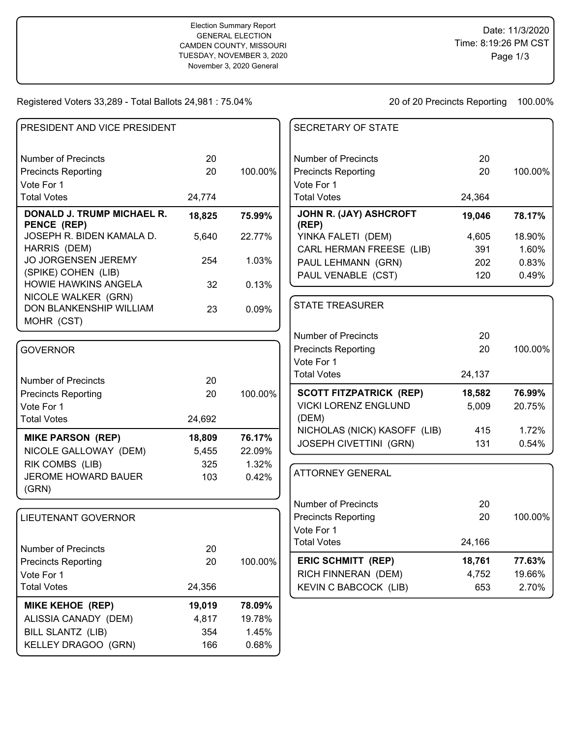## Registered Voters 33,289 - Total Ballots 24,981 : 75.04%

20 of 20 Precincts Reporting 100.00%

| PRESIDENT AND VICE PRESIDENT                     |        |         | <b>SECRETARY OF STATE</b>       |        |         |
|--------------------------------------------------|--------|---------|---------------------------------|--------|---------|
| <b>Number of Precincts</b>                       | 20     |         | <b>Number of Precincts</b>      | 20     |         |
| <b>Precincts Reporting</b>                       | 20     | 100.00% | <b>Precincts Reporting</b>      | 20     | 100.00% |
| Vote For 1                                       |        |         | Vote For 1                      |        |         |
| <b>Total Votes</b>                               | 24,774 |         | <b>Total Votes</b>              | 24,364 |         |
| <b>DONALD J. TRUMP MICHAEL R.</b><br>PENCE (REP) | 18,825 | 75.99%  | JOHN R. (JAY) ASHCROFT<br>(REP) | 19,046 | 78.17%  |
| JOSEPH R. BIDEN KAMALA D.                        | 5,640  | 22.77%  | YINKA FALETI (DEM)              | 4,605  | 18.90%  |
| HARRIS (DEM)                                     |        |         | CARL HERMAN FREESE (LIB)        | 391    | 1.60%   |
| JO JORGENSEN JEREMY                              | 254    | 1.03%   | PAUL LEHMANN (GRN)              | 202    | 0.83%   |
| (SPIKE) COHEN (LIB)                              |        |         | PAUL VENABLE (CST)              | 120    | 0.49%   |
| HOWIE HAWKINS ANGELA                             | 32     | 0.13%   |                                 |        |         |
| NICOLE WALKER (GRN)<br>DON BLANKENSHIP WILLIAM   | 23     | 0.09%   | <b>STATE TREASURER</b>          |        |         |
| MOHR (CST)                                       |        |         |                                 |        |         |
|                                                  |        |         | <b>Number of Precincts</b>      | 20     |         |
| <b>GOVERNOR</b>                                  |        |         | <b>Precincts Reporting</b>      | 20     | 100.00% |
|                                                  |        |         | Vote For 1                      |        |         |
| <b>Number of Precincts</b>                       | 20     |         | <b>Total Votes</b>              | 24,137 |         |
| <b>Precincts Reporting</b>                       | 20     | 100.00% | <b>SCOTT FITZPATRICK (REP)</b>  | 18,582 | 76.99%  |
| Vote For 1                                       |        |         | <b>VICKI LORENZ ENGLUND</b>     | 5,009  | 20.75%  |
| <b>Total Votes</b>                               | 24,692 |         | (DEM)                           |        |         |
| <b>MIKE PARSON (REP)</b>                         | 18,809 | 76.17%  | NICHOLAS (NICK) KASOFF (LIB)    | 415    | 1.72%   |
| NICOLE GALLOWAY (DEM)                            | 5,455  | 22.09%  | <b>JOSEPH CIVETTINI (GRN)</b>   | 131    | 0.54%   |
| RIK COMBS (LIB)                                  | 325    | 1.32%   |                                 |        |         |
| JEROME HOWARD BAUER<br>(GRN)                     | 103    | 0.42%   | <b>ATTORNEY GENERAL</b>         |        |         |
|                                                  |        |         | <b>Number of Precincts</b>      | 20     |         |
| <b>LIEUTENANT GOVERNOR</b>                       |        |         | <b>Precincts Reporting</b>      | 20     | 100.00% |
|                                                  |        |         | Vote For 1                      |        |         |
| <b>Number of Precincts</b>                       | 20     |         | <b>Total Votes</b>              | 24,166 |         |
|                                                  |        |         | <b>ERIC SCHMITT (REP)</b>       | 18,761 | 77.63%  |
| <b>Precincts Reporting</b><br>Vote For 1         | 20     | 100.00% | RICH FINNERAN (DEM)             | 4,752  | 19.66%  |
|                                                  |        |         |                                 |        |         |
| <b>Total Votes</b>                               | 24,356 |         | <b>KEVIN C BABCOCK (LIB)</b>    | 653    | 2.70%   |
| <b>MIKE KEHOE (REP)</b>                          | 19,019 | 78.09%  |                                 |        |         |
| ALISSIA CANADY (DEM)                             | 4,817  | 19.78%  |                                 |        |         |
| <b>BILL SLANTZ (LIB)</b>                         | 354    | 1.45%   |                                 |        |         |
| KELLEY DRAGOO (GRN)                              | 166    | 0.68%   |                                 |        |         |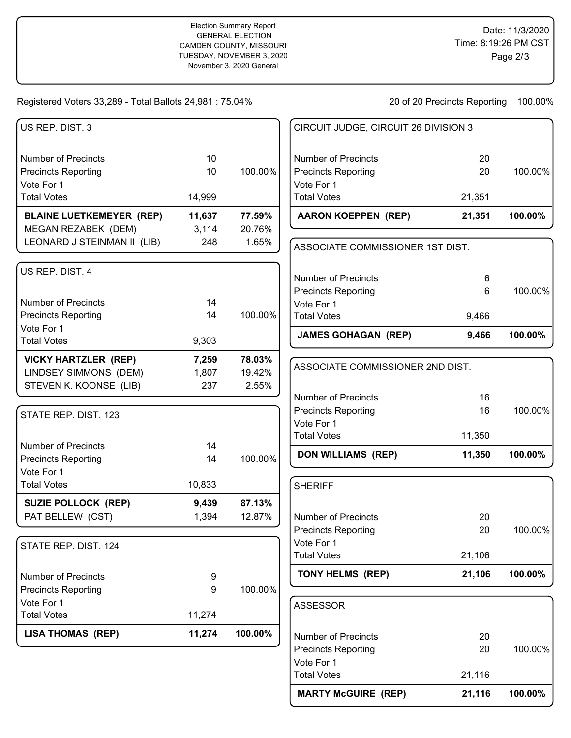## Registered Voters 33,289 - Total Ballots 24,981 : 75.04%

20 of 20 Precincts Reporting 100.00%

**MARTY McGUIRE (REP) 21,116 100.00%**

| US REP. DIST. 3                 |        |         | CIRCUIT JUDGE, CIRCUIT 26 DIVISION 3 |        |         |
|---------------------------------|--------|---------|--------------------------------------|--------|---------|
| <b>Number of Precincts</b>      | 10     |         | <b>Number of Precincts</b>           | 20     |         |
| <b>Precincts Reporting</b>      | 10     | 100.00% | <b>Precincts Reporting</b>           | 20     | 100.00% |
| Vote For 1                      |        |         | Vote For 1                           |        |         |
| <b>Total Votes</b>              | 14,999 |         | <b>Total Votes</b>                   | 21,351 |         |
| <b>BLAINE LUETKEMEYER (REP)</b> | 11,637 | 77.59%  | <b>AARON KOEPPEN (REP)</b>           | 21,351 | 100.00% |
| MEGAN REZABEK (DEM)             | 3,114  | 20.76%  |                                      |        |         |
| LEONARD J STEINMAN II (LIB)     | 248    | 1.65%   | ASSOCIATE COMMISSIONER 1ST DIST.     |        |         |
| US REP. DIST. 4                 |        |         | <b>Number of Precincts</b>           | 6      |         |
|                                 |        |         | <b>Precincts Reporting</b>           | 6      | 100.00% |
| <b>Number of Precincts</b>      | 14     |         | Vote For 1                           |        |         |
| <b>Precincts Reporting</b>      | 14     | 100.00% | <b>Total Votes</b>                   | 9,466  |         |
| Vote For 1                      |        |         |                                      |        |         |
| <b>Total Votes</b>              | 9,303  |         | <b>JAMES GOHAGAN (REP)</b>           | 9,466  | 100.00% |
| <b>VICKY HARTZLER (REP)</b>     | 7,259  | 78.03%  |                                      |        |         |
| LINDSEY SIMMONS (DEM)           | 1,807  | 19.42%  | ASSOCIATE COMMISSIONER 2ND DIST.     |        |         |
| STEVEN K. KOONSE (LIB)          | 237    | 2.55%   |                                      |        |         |
|                                 |        |         | <b>Number of Precincts</b>           | 16     |         |
| STATE REP. DIST. 123            |        |         | <b>Precincts Reporting</b>           | 16     | 100.00% |
|                                 |        |         | Vote For 1<br><b>Total Votes</b>     | 11,350 |         |
| <b>Number of Precincts</b>      | 14     |         |                                      |        |         |
| <b>Precincts Reporting</b>      | 14     | 100.00% | <b>DON WILLIAMS (REP)</b>            | 11,350 | 100.00% |
| Vote For 1                      |        |         |                                      |        |         |
| <b>Total Votes</b>              | 10,833 |         | <b>SHERIFF</b>                       |        |         |
| <b>SUZIE POLLOCK (REP)</b>      | 9,439  | 87.13%  |                                      |        |         |
| PAT BELLEW (CST)                | 1,394  | 12.87%  | <b>Number of Precincts</b>           | 20     |         |
|                                 |        |         | <b>Precincts Reporting</b>           | 20     | 100.00% |
| STATE REP. DIST. 124            |        |         | Vote For 1                           |        |         |
|                                 |        |         | <b>Total Votes</b>                   | 21,106 |         |
| <b>Number of Precincts</b>      | 9      |         | TONY HELMS (REP)                     | 21,106 | 100.00% |
| <b>Precincts Reporting</b>      | 9      | 100.00% |                                      |        |         |
| Vote For 1                      |        |         | <b>ASSESSOR</b>                      |        |         |
| <b>Total Votes</b>              | 11,274 |         |                                      |        |         |
| <b>LISA THOMAS (REP)</b>        | 11,274 | 100.00% | <b>Number of Precincts</b>           | 20     |         |
|                                 |        |         | <b>Precincts Reporting</b>           | 20     | 100.00% |
|                                 |        |         | Vote For 1                           |        |         |
|                                 |        |         | <b>Total Votes</b>                   | 21,116 |         |
|                                 |        |         |                                      |        |         |